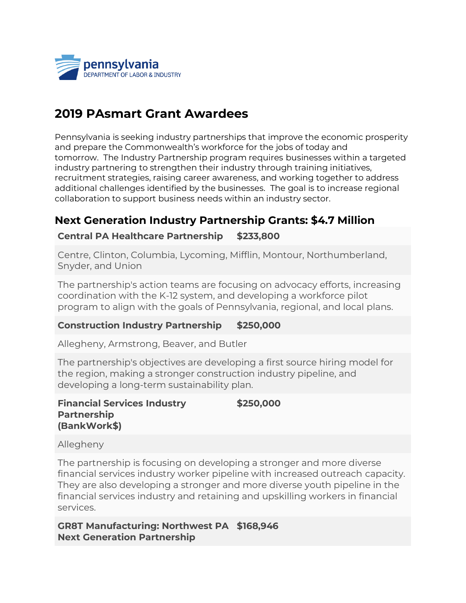

## **2019 PAsmart Grant Awardees**

Pennsylvania is seeking industry partnerships that improve the economic prosperity and prepare the Commonwealth's workforce for the jobs of today and tomorrow. The Industry Partnership program requires businesses within a targeted industry partnering to strengthen their industry through training initiatives, recruitment strategies, raising career awareness, and working together to address additional challenges identified by the businesses. The goal is to increase regional collaboration to support business needs within an industry sector.

## **Next Generation Industry Partnership Grants: \$4.7 Million**

## **Central PA Healthcare Partnership \$233,800**

Centre, Clinton, Columbia, Lycoming, Mifflin, Montour, Northumberland, Snyder, and Union

The partnership's action teams are focusing on advocacy efforts, increasing coordination with the K-12 system, and developing a workforce pilot program to align with the goals of Pennsylvania, regional, and local plans.

#### **Construction Industry Partnership \$250,000**

Allegheny, Armstrong, Beaver, and Butler

The partnership's objectives are developing a first source hiring model for the region, making a stronger construction industry pipeline, and developing a long-term sustainability plan.

#### **Financial Services Industry Partnership (BankWork\$) \$250,000**

Allegheny

The partnership is focusing on developing a stronger and more diverse financial services industry worker pipeline with increased outreach capacity. They are also developing a stronger and more diverse youth pipeline in the financial services industry and retaining and upskilling workers in financial services.

**GR8T Manufacturing: Northwest PA \$168,946Next Generation Partnership**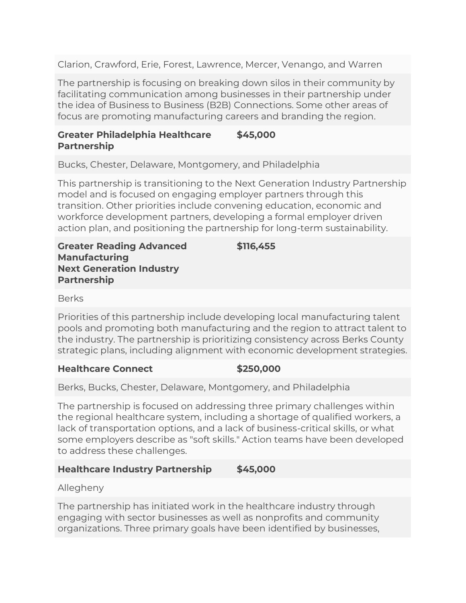Clarion, Crawford, Erie, Forest, Lawrence, Mercer, Venango, and Warren

The partnership is focusing on breaking down silos in their community by facilitating communication among businesses in their partnership under the idea of Business to Business (B2B) Connections. Some other areas of focus are promoting manufacturing careers and branding the region.

#### **Greater Philadelphia Healthcare Partnership \$45,000**

Bucks, Chester, Delaware, Montgomery, and Philadelphia

This partnership is transitioning to the Next Generation Industry Partnership model and is focused on engaging employer partners through this transition. Other priorities include convening education, economic and workforce development partners, developing a formal employer driven action plan, and positioning the partnership for long-term sustainability.

**Greater Reading Advanced Manufacturing Next Generation Industry Partnership**

**\$116,455**

Berks

Priorities of this partnership include developing local manufacturing talent pools and promoting both manufacturing and the region to attract talent to the industry. The partnership is prioritizing consistency across Berks County strategic plans, including alignment with economic development strategies.

## **Healthcare Connect \$250,000**

Berks, Bucks, Chester, Delaware, Montgomery, and Philadelphia

The partnership is focused on addressing three primary challenges within the regional healthcare system, including a shortage of qualified workers, a lack of transportation options, and a lack of business-critical skills, or what some employers describe as "soft skills." Action teams have been developed to address these challenges.

## **Healthcare Industry Partnership \$45,000**

Allegheny

The partnership has initiated work in the healthcare industry through engaging with sector businesses as well as nonprofits and community organizations. Three primary goals have been identified by businesses,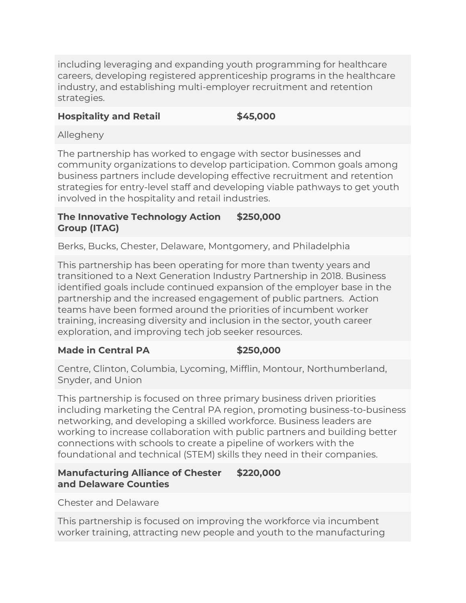including leveraging and expanding youth programming for healthcare careers, developing registered apprenticeship programs in the healthcare industry, and establishing multi-employer recruitment and retention strategies.

### **Hospitality and Retail \$45,000**

Allegheny

The partnership has worked to engage with sector businesses and community organizations to develop participation. Common goals among business partners include developing effective recruitment and retention strategies for entry-level staff and developing viable pathways to get youth involved in the hospitality and retail industries.

#### **The Innovative Technology Action Group (ITAG) \$250,000**

Berks, Bucks, Chester, Delaware, Montgomery, and Philadelphia

This partnership has been operating for more than twenty years and transitioned to a Next Generation Industry Partnership in 2018. Business identified goals include continued expansion of the employer base in the partnership and the increased engagement of public partners. Action teams have been formed around the priorities of incumbent worker training, increasing diversity and inclusion in the sector, youth career exploration, and improving tech job seeker resources.

## **Made in Central PA \$250,000**

Centre, Clinton, Columbia, Lycoming, Mifflin, Montour, Northumberland, Snyder, and Union

This partnership is focused on three primary business driven priorities including marketing the Central PA region, promoting business-to-business networking, and developing a skilled workforce. Business leaders are working to increase collaboration with public partners and building better connections with schools to create a pipeline of workers with the foundational and technical (STEM) skills they need in their companies.

#### **Manufacturing Alliance of Chester and Delaware Counties \$220,000**

Chester and Delaware

This partnership is focused on improving the workforce via incumbent worker training, attracting new people and youth to the manufacturing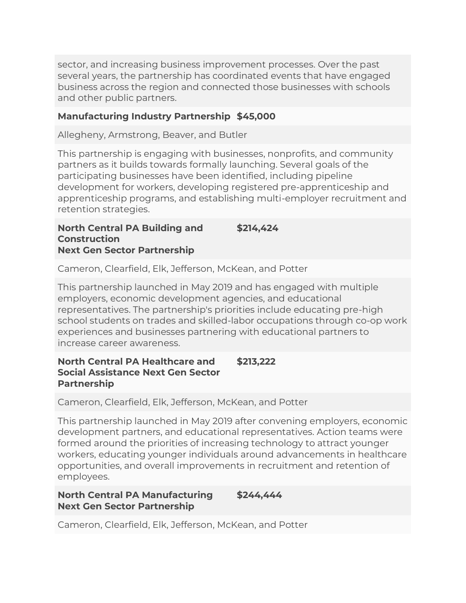sector, and increasing business improvement processes. Over the past several years, the partnership has coordinated events that have engaged business across the region and connected those businesses with schools and other public partners.

### **Manufacturing Industry Partnership \$45,000**

Allegheny, Armstrong, Beaver, and Butler

This partnership is engaging with businesses, nonprofits, and community partners as it builds towards formally launching. Several goals of the participating businesses have been identified, including pipeline development for workers, developing registered pre-apprenticeship and apprenticeship programs, and establishing multi-employer recruitment and retention strategies.

**North Central PA Building and Construction Next Gen Sector Partnership \$214,424**

Cameron, Clearfield, Elk, Jefferson, McKean, and Potter

This partnership launched in May 2019 and has engaged with multiple employers, economic development agencies, and educational representatives. The partnership's priorities include educating pre-high school students on trades and skilled-labor occupations through co-op work experiences and businesses partnering with educational partners to increase career awareness.

#### **North Central PA Healthcare and Social Assistance Next Gen Sector Partnership \$213,222**

Cameron, Clearfield, Elk, Jefferson, McKean, and Potter

This partnership launched in May 2019 after convening employers, economic development partners, and educational representatives. Action teams were formed around the priorities of increasing technology to attract younger workers, educating younger individuals around advancements in healthcare opportunities, and overall improvements in recruitment and retention of employees.

#### **North Central PA Manufacturing Next Gen Sector Partnership \$244,444**

Cameron, Clearfield, Elk, Jefferson, McKean, and Potter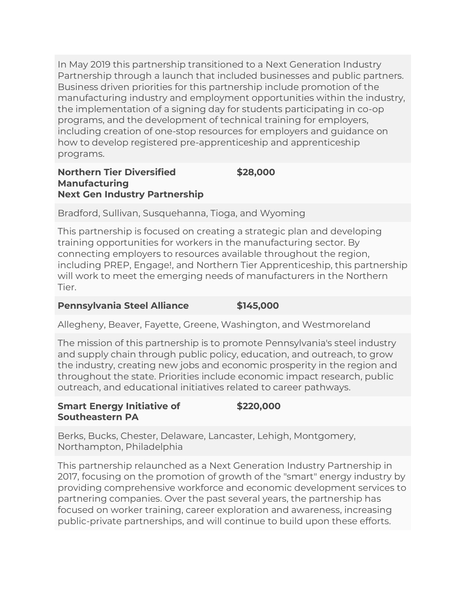In May 2019 this partnership transitioned to a Next Generation Industry Partnership through a launch that included businesses and public partners. Business driven priorities for this partnership include promotion of the manufacturing industry and employment opportunities within the industry, the implementation of a signing day for students participating in co-op programs, and the development of technical training for employers, including creation of one-stop resources for employers and guidance on how to develop registered pre-apprenticeship and apprenticeship programs.

#### **Northern Tier Diversified Manufacturing Next Gen Industry Partnership \$28,000**

Bradford, Sullivan, Susquehanna, Tioga, and Wyoming

This partnership is focused on creating a strategic plan and developing training opportunities for workers in the manufacturing sector. By connecting employers to resources available throughout the region, including PREP, Engage!, and Northern Tier Apprenticeship, this partnership will work to meet the emerging needs of manufacturers in the Northern Tier.

## **Pennsylvania Steel Alliance \$145,000**

Allegheny, Beaver, Fayette, Greene, Washington, and Westmoreland

The mission of this partnership is to promote Pennsylvania's steel industry and supply chain through public policy, education, and outreach, to grow the industry, creating new jobs and economic prosperity in the region and throughout the state. Priorities include economic impact research, public outreach, and educational initiatives related to career pathways.

#### **Smart Energy Initiative of Southeastern PA \$220,000**

Berks, Bucks, Chester, Delaware, Lancaster, Lehigh, Montgomery, Northampton, Philadelphia

This partnership relaunched as a Next Generation Industry Partnership in 2017, focusing on the promotion of growth of the "smart" energy industry by providing comprehensive workforce and economic development services to partnering companies. Over the past several years, the partnership has focused on worker training, career exploration and awareness, increasing public-private partnerships, and will continue to build upon these efforts.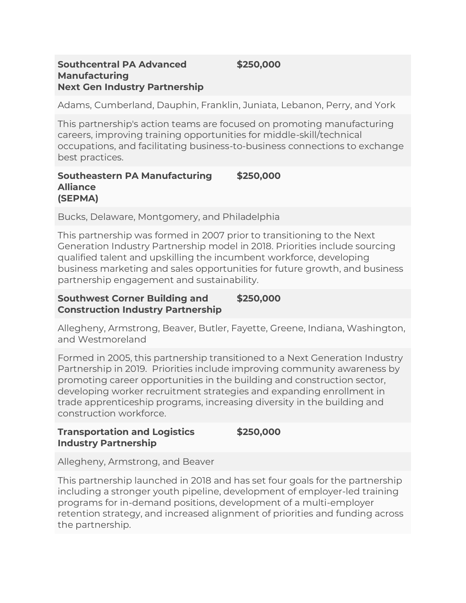# **Southcentral PA Advanced**

**Manufacturing**

**Next Gen Industry Partnership**

**\$250,000**

Adams, Cumberland, Dauphin, Franklin, Juniata, Lebanon, Perry, and York

This partnership's action teams are focused on promoting manufacturing careers, improving training opportunities for middle-skill/technical occupations, and facilitating business-to-business connections to exchange best practices.

#### **Southeastern PA Manufacturing Alliance (SEPMA) \$250,000**

Bucks, Delaware, Montgomery, and Philadelphia

This partnership was formed in 2007 prior to transitioning to the Next Generation Industry Partnership model in 2018. Priorities include sourcing qualified talent and upskilling the incumbent workforce, developing business marketing and sales opportunities for future growth, and business partnership engagement and sustainability.

#### **Southwest Corner Building and Construction Industry Partnership \$250,000**

Allegheny, Armstrong, Beaver, Butler, Fayette, Greene, Indiana, Washington, and Westmoreland

Formed in 2005, this partnership transitioned to a Next Generation Industry Partnership in 2019. Priorities include improving community awareness by promoting career opportunities in the building and construction sector, developing worker recruitment strategies and expanding enrollment in trade apprenticeship programs, increasing diversity in the building and construction workforce.

#### **Transportation and Logistics Industry Partnership \$250,000**

Allegheny, Armstrong, and Beaver

This partnership launched in 2018 and has set four goals for the partnership including a stronger youth pipeline, development of employer-led training programs for in-demand positions, development of a multi-employer retention strategy, and increased alignment of priorities and funding across the partnership.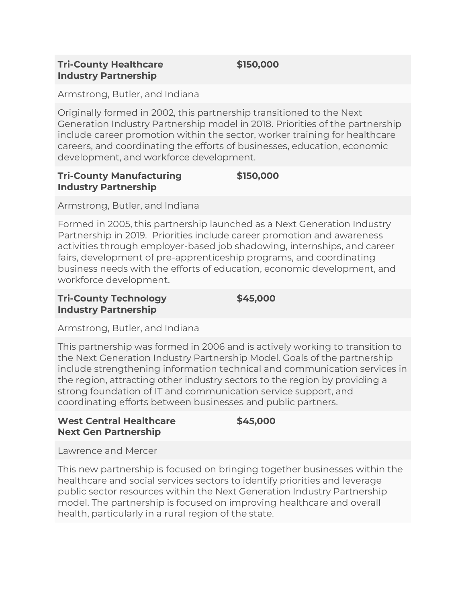## **Tri-County Healthcare Industry Partnership**

**\$150,000**

Armstrong, Butler, and Indiana

Originally formed in 2002, this partnership transitioned to the Next Generation Industry Partnership model in 2018. Priorities of the partnership include career promotion within the sector, worker training for healthcare careers, and coordinating the efforts of businesses, education, economic development, and workforce development.

#### **Tri-County Manufacturing Industry Partnership \$150,000**

Armstrong, Butler, and Indiana

Formed in 2005, this partnership launched as a Next Generation Industry Partnership in 2019. Priorities include career promotion and awareness activities through employer-based job shadowing, internships, and career fairs, development of pre-apprenticeship programs, and coordinating business needs with the efforts of education, economic development, and workforce development.

#### **Tri-County Technology Industry Partnership \$45,000**

Armstrong, Butler, and Indiana

This partnership was formed in 2006 and is actively working to transition to the Next Generation Industry Partnership Model. Goals of the partnership include strengthening information technical and communication services in the region, attracting other industry sectors to the region by providing a strong foundation of IT and communication service support, and coordinating efforts between businesses and public partners.

## **West Central Healthcare Next Gen Partnership**

**\$45,000**

Lawrence and Mercer

This new partnership is focused on bringing together businesses within the healthcare and social services sectors to identify priorities and leverage public sector resources within the Next Generation Industry Partnership model. The partnership is focused on improving healthcare and overall health, particularly in a rural region of the state.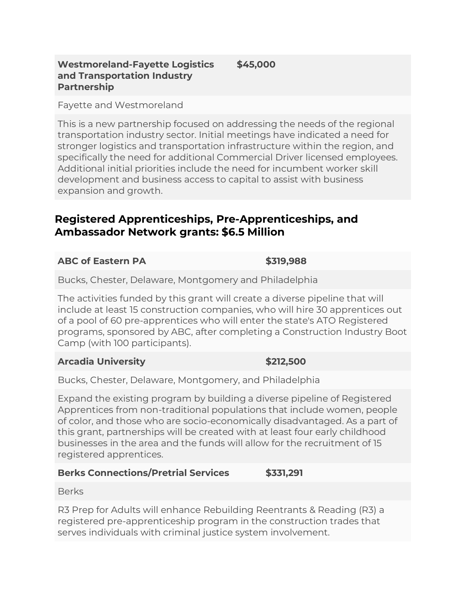#### **Westmoreland-Fayette Logistics and Transportation Industry Partnership \$45,000**

Fayette and Westmoreland

This is a new partnership focused on addressing the needs of the regional transportation industry sector. Initial meetings have indicated a need for stronger logistics and transportation infrastructure within the region, and specifically the need for additional Commercial Driver licensed employees. Additional initial priorities include the need for incumbent worker skill development and business access to capital to assist with business expansion and growth.

## **Registered Apprenticeships, Pre-Apprenticeships, and Ambassador Network grants: \$6.5 Million**

## **ABC of Eastern PA \$319,988**

Bucks, Chester, Delaware, Montgomery and Philadelphia

The activities funded by this grant will create a diverse pipeline that will include at least 15 construction companies, who will hire 30 apprentices out of a pool of 60 pre-apprentices who will enter the state's ATO Registered programs, sponsored by ABC, after completing a Construction Industry Boot Camp (with 100 participants).

## **Arcadia University \$212,500**

Bucks, Chester, Delaware, Montgomery, and Philadelphia

Expand the existing program by building a diverse pipeline of Registered Apprentices from non-traditional populations that include women, people of color, and those who are socio-economically disadvantaged. As a part of this grant, partnerships will be created with at least four early childhood businesses in the area and the funds will allow for the recruitment of 15 registered apprentices.

## **Berks Connections/Pretrial Services \$331,291**

Berks

R3 Prep for Adults will enhance Rebuilding Reentrants & Reading (R3) a registered pre-apprenticeship program in the construction trades that serves individuals with criminal justice system involvement.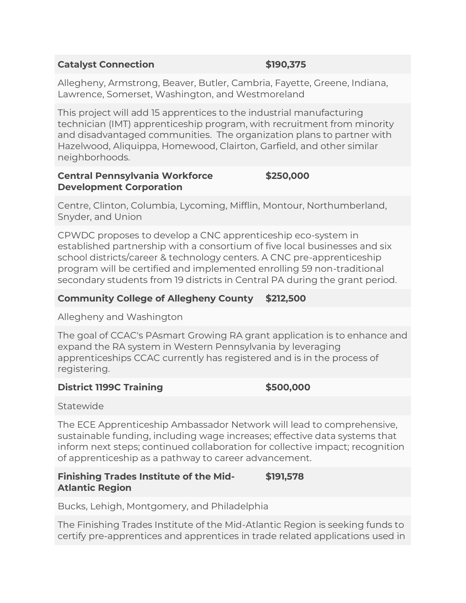## **Catalyst Connection \$190,375**

Allegheny, Armstrong, Beaver, Butler, Cambria, Fayette, Greene, Indiana, Lawrence, Somerset, Washington, and Westmoreland

This project will add 15 apprentices to the industrial manufacturing technician (IMT) apprenticeship program, with recruitment from minority and disadvantaged communities. The organization plans to partner with Hazelwood, Aliquippa, Homewood, Clairton, Garfield, and other similar neighborhoods.

#### **Central Pennsylvania Workforce Development Corporation \$250,000**

Centre, Clinton, Columbia, Lycoming, Mifflin, Montour, Northumberland, Snyder, and Union

CPWDC proposes to develop a CNC apprenticeship eco-system in established partnership with a consortium of five local businesses and six school districts/career & technology centers. A CNC pre-apprenticeship program will be certified and implemented enrolling 59 non-traditional secondary students from 19 districts in Central PA during the grant period.

## **Community College of Allegheny County \$212,500**

Allegheny and Washington

The goal of CCAC's PAsmart Growing RA grant application is to enhance and expand the RA system in Western Pennsylvania by leveraging apprenticeships CCAC currently has registered and is in the process of registering.

## **District 1199C Training \$500,000**

Statewide

The ECE Apprenticeship Ambassador Network will lead to comprehensive, sustainable funding, including wage increases; effective data systems that inform next steps; continued collaboration for collective impact; recognition of apprenticeship as a pathway to career advancement.

#### **Finishing Trades Institute of the Mid-Atlantic Region \$191,578**

Bucks, Lehigh, Montgomery, and Philadelphia

The Finishing Trades Institute of the Mid-Atlantic Region is seeking funds to certify pre-apprentices and apprentices in trade related applications used in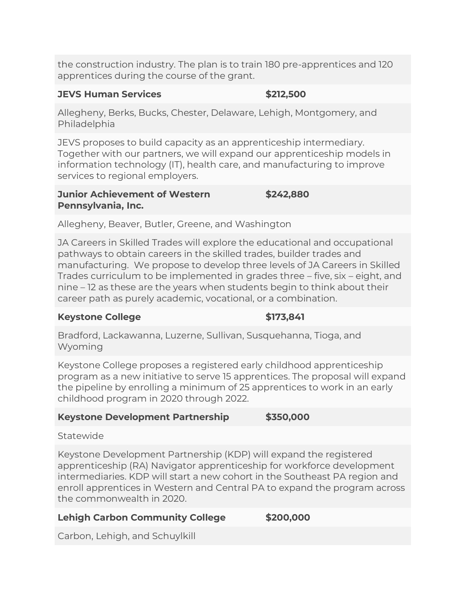the construction industry. The plan is to train 180 pre-apprentices and 120 apprentices during the course of the grant.

## **JEVS Human Services \$212,500**

Allegheny, Berks, Bucks, Chester, Delaware, Lehigh, Montgomery, and Philadelphia

JEVS proposes to build capacity as an apprenticeship intermediary. Together with our partners, we will expand our apprenticeship models in information technology (IT), health care, and manufacturing to improve services to regional employers.

#### **Junior Achievement of Western Pennsylvania, Inc. \$242,880**

Allegheny, Beaver, Butler, Greene, and Washington

JA Careers in Skilled Trades will explore the educational and occupational pathways to obtain careers in the skilled trades, builder trades and manufacturing. We propose to develop three levels of JA Careers in Skilled Trades curriculum to be implemented in grades three – five, six – eight, and nine – 12 as these are the years when students begin to think about their career path as purely academic, vocational, or a combination.

## **Keystone College \$173,841**

Bradford, Lackawanna, Luzerne, Sullivan, Susquehanna, Tioga, and Wyoming

Keystone College proposes a registered early childhood apprenticeship program as a new initiative to serve 15 apprentices. The proposal will expand the pipeline by enrolling a minimum of 25 apprentices to work in an early childhood program in 2020 through 2022.

## **Keystone Development Partnership \$350,000**

## **Statewide**

Keystone Development Partnership (KDP) will expand the registered apprenticeship (RA) Navigator apprenticeship for workforce development intermediaries. KDP will start a new cohort in the Southeast PA region and enroll apprentices in Western and Central PA to expand the program across the commonwealth in 2020.

## **Lehigh Carbon Community College \$200,000**

Carbon, Lehigh, and Schuylkill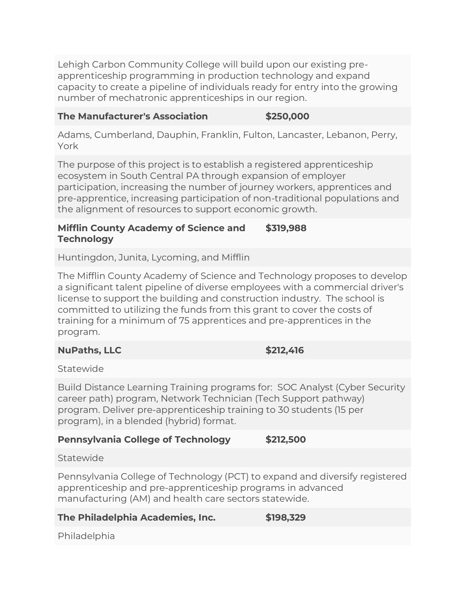Lehigh Carbon Community College will build upon our existing preapprenticeship programming in production technology and expand capacity to create a pipeline of individuals ready for entry into the growing number of mechatronic apprenticeships in our region.

### **The Manufacturer's Association \$250,000**

Adams, Cumberland, Dauphin, Franklin, Fulton, Lancaster, Lebanon, Perry, York

The purpose of this project is to establish a registered apprenticeship ecosystem in South Central PA through expansion of employer participation, increasing the number of journey workers, apprentices and pre-apprentice, increasing participation of non-traditional populations and the alignment of resources to support economic growth.

#### **Mifflin County Academy of Science and Technology \$319,988**

Huntingdon, Junita, Lycoming, and Mifflin

The Mifflin County Academy of Science and Technology proposes to develop a significant talent pipeline of diverse employees with a commercial driver's license to support the building and construction industry. The school is committed to utilizing the funds from this grant to cover the costs of training for a minimum of 75 apprentices and pre-apprentices in the program.

**NuPaths, LLC** \$212,416

Statewide

Build Distance Learning Training programs for: SOC Analyst (Cyber Security career path) program, Network Technician (Tech Support pathway) program. Deliver pre-apprenticeship training to 30 students (15 per program), in a blended (hybrid) format.

## **Pennsylvania College of Technology \$212,500**

Statewide

Pennsylvania College of Technology (PCT) to expand and diversify registered apprenticeship and pre-apprenticeship programs in advanced manufacturing (AM) and health care sectors statewide.

## **The Philadelphia Academies, Inc. \$198,329**

Philadelphia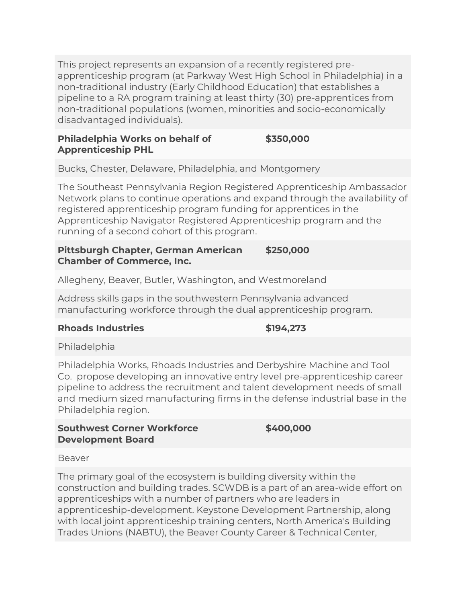This project represents an expansion of a recently registered preapprenticeship program (at Parkway West High School in Philadelphia) in a non-traditional industry (Early Childhood Education) that establishes a pipeline to a RA program training at least thirty (30) pre-apprentices from non-traditional populations (women, minorities and socio-economically disadvantaged individuals).

#### **Philadelphia Works on behalf of Apprenticeship PHL \$350,000**

Bucks, Chester, Delaware, Philadelphia, and Montgomery

The Southeast Pennsylvania Region Registered Apprenticeship Ambassador Network plans to continue operations and expand through the availability of registered apprenticeship program funding for apprentices in the Apprenticeship Navigator Registered Apprenticeship program and the running of a second cohort of this program.

#### **Pittsburgh Chapter, German American Chamber of Commerce, Inc. \$250,000**

Allegheny, Beaver, Butler, Washington, and Westmoreland

Address skills gaps in the southwestern Pennsylvania advanced manufacturing workforce through the dual apprenticeship program.

#### **Rhoads Industries \$194,273**

Philadelphia

Philadelphia Works, Rhoads Industries and Derbyshire Machine and Tool Co. propose developing an innovative entry level pre-apprenticeship career pipeline to address the recruitment and talent development needs of small and medium sized manufacturing firms in the defense industrial base in the Philadelphia region.

## **Southwest Corner Workforce Development Board**

**\$400,000**

Beaver

The primary goal of the ecosystem is building diversity within the construction and building trades. SCWDB is a part of an area-wide effort on apprenticeships with a number of partners who are leaders in apprenticeship-development. Keystone Development Partnership, along with local joint apprenticeship training centers, North America's Building Trades Unions (NABTU), the Beaver County Career & Technical Center,